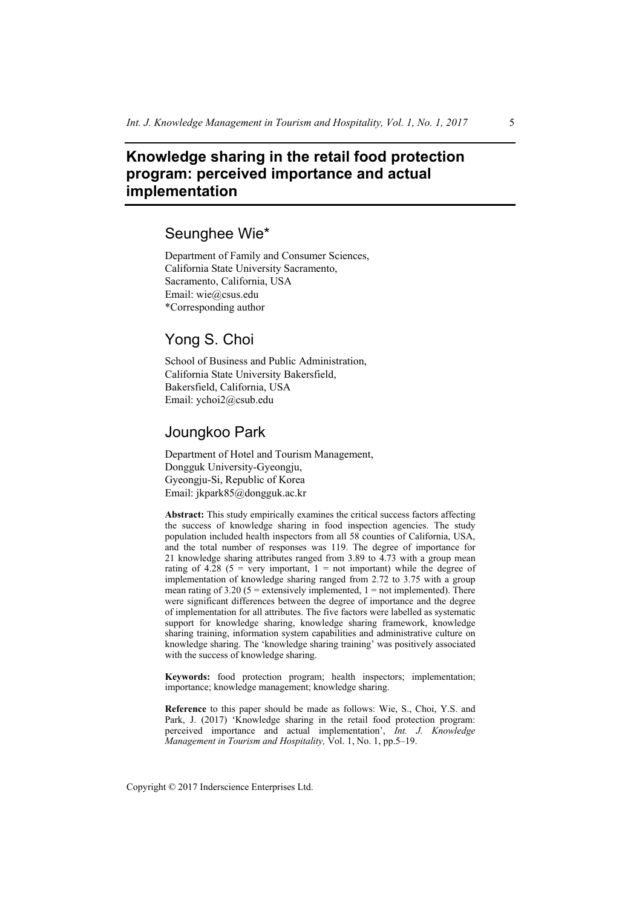# **Knowledge sharing in the retail food protection program: perceived importance and actual implementation**

# Seunghee Wie\*

Department of Family and Consumer Sciences, California State University Sacramento, Sacramento, California, USA Email: wie@csus.edu \*Corresponding author

# Yong S. Choi

School of Business and Public Administration, California State University Bakersfield, Bakersfield, California, USA Email: ychoi2@csub.edu

# Joungkoo Park

Department of Hotel and Tourism Management, Dongguk University-Gyeongju, Gyeongju-Si, Republic of Korea Email: jkpark85@dongguk.ac.kr

**Abstract:** This study empirically examines the critical success factors affecting the success of knowledge sharing in food inspection agencies. The study population included health inspectors from all 58 counties of California, USA, and the total number of responses was 119. The degree of importance for 21 knowledge sharing attributes ranged from 3.89 to 4.73 with a group mean rating of 4.28 ( $5 = \text{very important}$ ,  $1 = \text{not important}$ ) while the degree of implementation of knowledge sharing ranged from 2.72 to 3.75 with a group mean rating of  $3.20$  ( $5$  = extensively implemented,  $1$  = not implemented). There were significant differences between the degree of importance and the degree of implementation for all attributes. The five factors were labelled as systematic support for knowledge sharing, knowledge sharing framework, knowledge sharing training, information system capabilities and administrative culture on knowledge sharing. The 'knowledge sharing training' was positively associated with the success of knowledge sharing.

**Keywords:** food protection program; health inspectors; implementation; importance; knowledge management; knowledge sharing.

**Reference** to this paper should be made as follows: Wie, S., Choi, Y.S. and Park, J. (2017) 'Knowledge sharing in the retail food protection program: perceived importance and actual implementation', *Int. J. Knowledge Management in Tourism and Hospitality,* Vol. 1, No. 1, pp.5–19.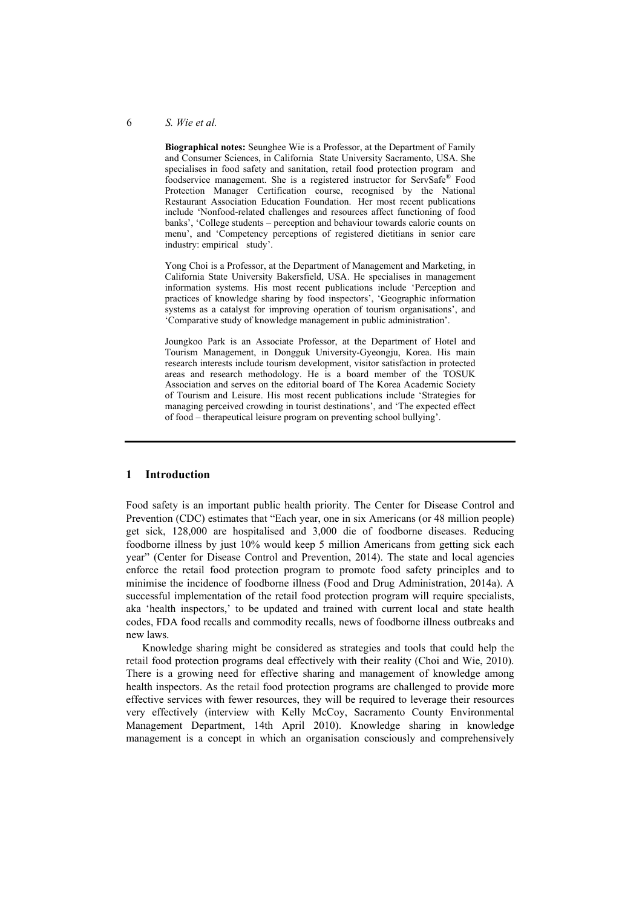**Biographical notes:** Seunghee Wie is a Professor, at the Department of Family and Consumer Sciences, in California State University Sacramento, USA. She specialises in food safety and sanitation, retail food protection program and foodservice management. She is a registered instructor for ServSafe® Food Protection Manager Certification course, recognised by the National Restaurant Association Education Foundation. Her most recent publications include 'Nonfood-related challenges and resources affect functioning of food banks', 'College students – perception and behaviour towards calorie counts on menu', and 'Competency perceptions of registered dietitians in senior care industry: empirical study'.

Yong Choi is a Professor, at the Department of Management and Marketing, in California State University Bakersfield, USA. He specialises in management information systems. His most recent publications include 'Perception and practices of knowledge sharing by food inspectors', 'Geographic information systems as a catalyst for improving operation of tourism organisations', and 'Comparative study of knowledge management in public administration'.

Joungkoo Park is an Associate Professor, at the Department of Hotel and Tourism Management, in Dongguk University-Gyeongju, Korea. His main research interests include tourism development, visitor satisfaction in protected areas and research methodology. He is a board member of the TOSUK Association and serves on the editorial board of The Korea Academic Society of Tourism and Leisure. His most recent publications include 'Strategies for managing perceived crowding in tourist destinations', and 'The expected effect of food – therapeutical leisure program on preventing school bullying'.

### **1 Introduction**

Food safety is an important public health priority. The Center for Disease Control and Prevention (CDC) estimates that "Each year, one in six Americans (or 48 million people) get sick, 128,000 are hospitalised and 3,000 die of foodborne diseases. Reducing foodborne illness by just 10% would keep 5 million Americans from getting sick each year" (Center for Disease Control and Prevention, 2014). The state and local agencies enforce the retail food protection program to promote food safety principles and to minimise the incidence of foodborne illness (Food and Drug Administration, 2014a). A successful implementation of the retail food protection program will require specialists, aka 'health inspectors,' to be updated and trained with current local and state health codes, FDA food recalls and commodity recalls, news of foodborne illness outbreaks and new laws.

Knowledge sharing might be considered as strategies and tools that could help the retail food protection programs deal effectively with their reality (Choi and Wie, 2010). There is a growing need for effective sharing and management of knowledge among health inspectors. As the retail food protection programs are challenged to provide more effective services with fewer resources, they will be required to leverage their resources very effectively (interview with Kelly McCoy, Sacramento County Environmental Management Department, 14th April 2010). Knowledge sharing in knowledge management is a concept in which an organisation consciously and comprehensively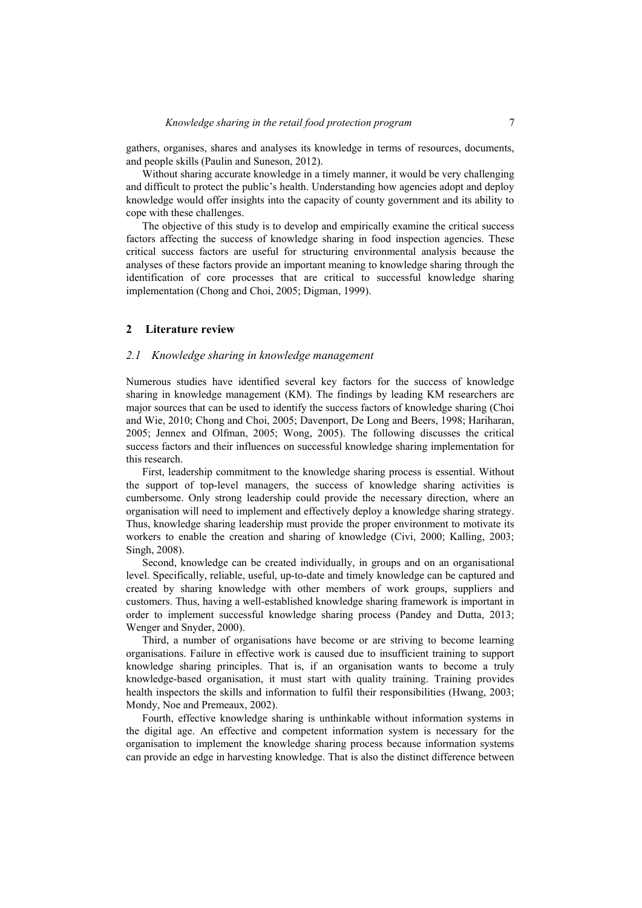gathers, organises, shares and analyses its knowledge in terms of resources, documents, and people skills (Paulin and Suneson, 2012).

Without sharing accurate knowledge in a timely manner, it would be very challenging and difficult to protect the public's health. Understanding how agencies adopt and deploy knowledge would offer insights into the capacity of county government and its ability to cope with these challenges.

The objective of this study is to develop and empirically examine the critical success factors affecting the success of knowledge sharing in food inspection agencies. These critical success factors are useful for structuring environmental analysis because the analyses of these factors provide an important meaning to knowledge sharing through the identification of core processes that are critical to successful knowledge sharing implementation (Chong and Choi, 2005; Digman, 1999).

## **2 Literature review**

### *2.1 Knowledge sharing in knowledge management*

Numerous studies have identified several key factors for the success of knowledge sharing in knowledge management (KM). The findings by leading KM researchers are major sources that can be used to identify the success factors of knowledge sharing (Choi and Wie, 2010; Chong and Choi, 2005; Davenport, De Long and Beers, 1998; Hariharan, 2005; Jennex and Olfman, 2005; Wong, 2005). The following discusses the critical success factors and their influences on successful knowledge sharing implementation for this research.

First, leadership commitment to the knowledge sharing process is essential. Without the support of top-level managers, the success of knowledge sharing activities is cumbersome. Only strong leadership could provide the necessary direction, where an organisation will need to implement and effectively deploy a knowledge sharing strategy. Thus, knowledge sharing leadership must provide the proper environment to motivate its workers to enable the creation and sharing of knowledge (Civi, 2000; Kalling, 2003; Singh, 2008).

Second, knowledge can be created individually, in groups and on an organisational level. Specifically, reliable, useful, up-to-date and timely knowledge can be captured and created by sharing knowledge with other members of work groups, suppliers and customers. Thus, having a well-established knowledge sharing framework is important in order to implement successful knowledge sharing process (Pandey and Dutta, 2013; Wenger and Snyder, 2000).

Third, a number of organisations have become or are striving to become learning organisations. Failure in effective work is caused due to insufficient training to support knowledge sharing principles. That is, if an organisation wants to become a truly knowledge-based organisation, it must start with quality training. Training provides health inspectors the skills and information to fulfil their responsibilities (Hwang, 2003; Mondy, Noe and Premeaux, 2002).

Fourth, effective knowledge sharing is unthinkable without information systems in the digital age. An effective and competent information system is necessary for the organisation to implement the knowledge sharing process because information systems can provide an edge in harvesting knowledge. That is also the distinct difference between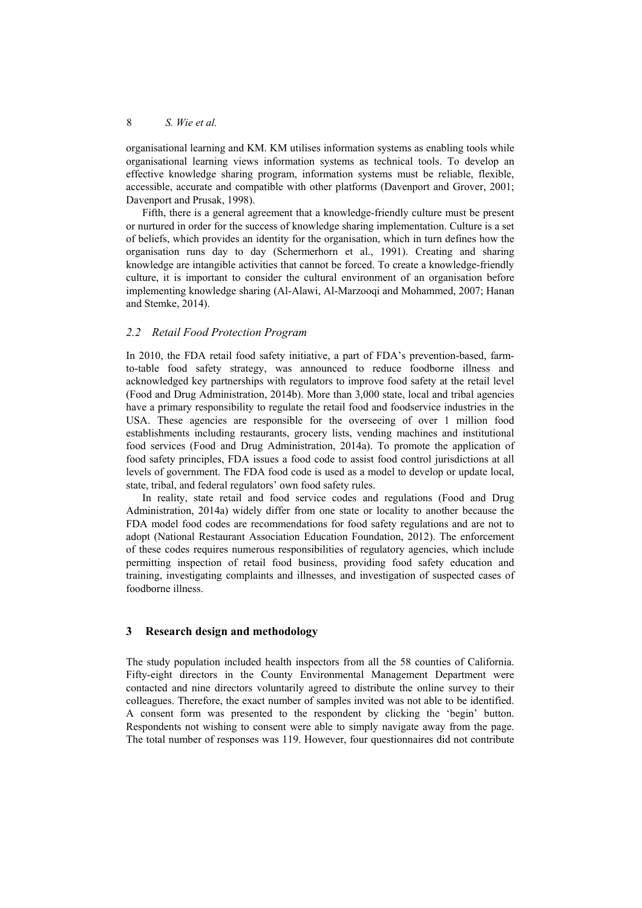organisational learning and KM. KM utilises information systems as enabling tools while organisational learning views information systems as technical tools. To develop an effective knowledge sharing program, information systems must be reliable, flexible, accessible, accurate and compatible with other platforms (Davenport and Grover, 2001; Davenport and Prusak, 1998).

Fifth, there is a general agreement that a knowledge-friendly culture must be present or nurtured in order for the success of knowledge sharing implementation. Culture is a set of beliefs, which provides an identity for the organisation, which in turn defines how the organisation runs day to day (Schermerhorn et al., 1991). Creating and sharing knowledge are intangible activities that cannot be forced. To create a knowledge-friendly culture, it is important to consider the cultural environment of an organisation before implementing knowledge sharing (Al-Alawi, Al-Marzooqi and Mohammed, 2007; Hanan and Stemke, 2014).

### *2.2 Retail Food Protection Program*

In 2010, the FDA retail food safety initiative, a part of FDA's prevention-based, farmto-table food safety strategy, was announced to reduce foodborne illness and acknowledged key partnerships with regulators to improve food safety at the retail level (Food and Drug Administration, 2014b). More than 3,000 state, local and tribal agencies have a primary responsibility to regulate the retail food and foodservice industries in the USA. These agencies are responsible for the overseeing of over 1 million food establishments including restaurants, grocery lists, vending machines and institutional food services (Food and Drug Administration, 2014a). To promote the application of food safety principles, FDA issues a food code to assist food control jurisdictions at all levels of government. The FDA food code is used as a model to develop or update local, state, tribal, and federal regulators' own food safety rules.

In reality, state retail and food service codes and regulations (Food and Drug Administration, 2014a) widely differ from one state or locality to another because the FDA model food codes are recommendations for food safety regulations and are not to adopt (National Restaurant Association Education Foundation, 2012). The enforcement of these codes requires numerous responsibilities of regulatory agencies, which include permitting inspection of retail food business, providing food safety education and training, investigating complaints and illnesses, and investigation of suspected cases of foodborne illness.

## **3 Research design and methodology**

The study population included health inspectors from all the 58 counties of California. Fifty-eight directors in the County Environmental Management Department were contacted and nine directors voluntarily agreed to distribute the online survey to their colleagues. Therefore, the exact number of samples invited was not able to be identified. A consent form was presented to the respondent by clicking the 'begin' button. Respondents not wishing to consent were able to simply navigate away from the page. The total number of responses was 119. However, four questionnaires did not contribute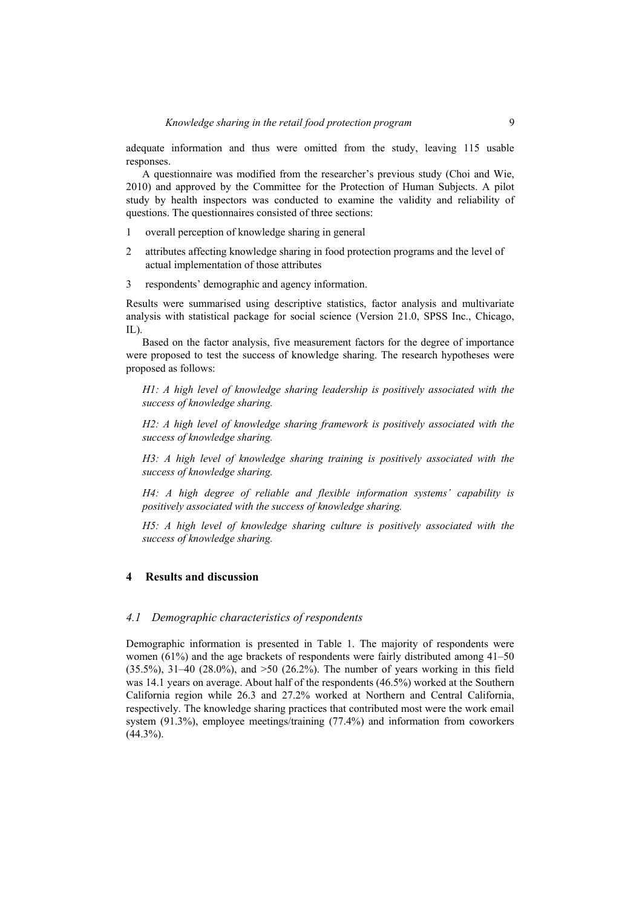adequate information and thus were omitted from the study, leaving 115 usable responses.

A questionnaire was modified from the researcher's previous study (Choi and Wie, 2010) and approved by the Committee for the Protection of Human Subjects. A pilot study by health inspectors was conducted to examine the validity and reliability of questions. The questionnaires consisted of three sections:

- 1 overall perception of knowledge sharing in general
- 2 attributes affecting knowledge sharing in food protection programs and the level of actual implementation of those attributes
- 3 respondents' demographic and agency information.

Results were summarised using descriptive statistics, factor analysis and multivariate analysis with statistical package for social science (Version 21.0, SPSS Inc., Chicago, IL).

Based on the factor analysis, five measurement factors for the degree of importance were proposed to test the success of knowledge sharing. The research hypotheses were proposed as follows:

*H1: A high level of knowledge sharing leadership is positively associated with the success of knowledge sharing.* 

*H2: A high level of knowledge sharing framework is positively associated with the success of knowledge sharing.* 

*H3: A high level of knowledge sharing training is positively associated with the success of knowledge sharing.* 

*H4: A high degree of reliable and flexible information systems' capability is positively associated with the success of knowledge sharing.* 

*H5: A high level of knowledge sharing culture is positively associated with the success of knowledge sharing.* 

## **4 Results and discussion**

### *4.1 Demographic characteristics of respondents*

Demographic information is presented in Table 1. The majority of respondents were women  $(61%)$  and the age brackets of respondents were fairly distributed among  $41-50$  $(35.5\%)$ ,  $31-40$   $(28.0\%)$ , and  $>50$   $(26.2\%)$ . The number of years working in this field was 14.1 years on average. About half of the respondents (46.5%) worked at the Southern California region while 26.3 and 27.2% worked at Northern and Central California, respectively. The knowledge sharing practices that contributed most were the work email system (91.3%), employee meetings/training (77.4%) and information from coworkers  $(44.3\%)$ .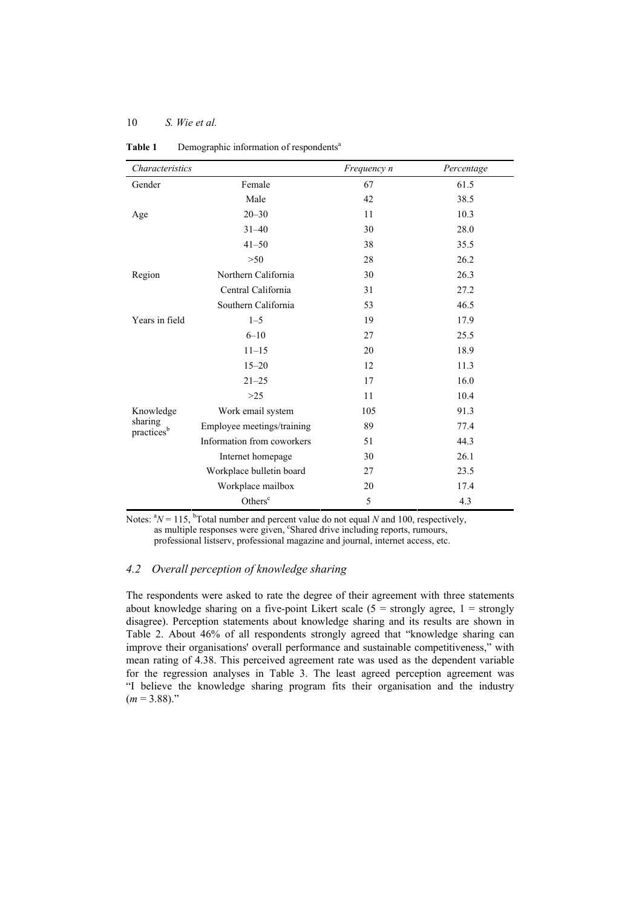| <i>Characteristics</i>            |                            | Frequency n | Percentage |
|-----------------------------------|----------------------------|-------------|------------|
| Gender                            | Female                     | 67          | 61.5       |
|                                   | Male                       | 42          | 38.5       |
| Age                               | $20 - 30$                  | 11          | 10.3       |
|                                   | $31 - 40$                  | 30          | 28.0       |
|                                   | $41 - 50$                  | 38          | 35.5       |
|                                   | $>50$                      | 28          | 26.2       |
| Region                            | Northern California        | 30          | 26.3       |
|                                   | Central California         | 31          | 27.2       |
|                                   | Southern California        | 53          | 46.5       |
| Years in field                    | $1 - 5$                    | 19          | 17.9       |
|                                   | $6 - 10$                   | 27          | 25.5       |
|                                   | $11 - 15$                  | 20          | 18.9       |
|                                   | $15 - 20$                  | 12          | 11.3       |
|                                   | $21 - 25$                  | 17          | 16.0       |
|                                   | $>25$                      | 11          | 10.4       |
| Knowledge                         | Work email system          | 105         | 91.3       |
| sharing<br>practices <sup>b</sup> | Employee meetings/training | 89          | 77.4       |
|                                   | Information from coworkers | 51          | 44.3       |
|                                   | Internet homepage          | 30          | 26.1       |
|                                   | Workplace bulletin board   | 27          | 23.5       |
|                                   | Workplace mailbox          | 20          | 17.4       |
|                                   | Others <sup>c</sup>        | 5           | 4.3        |

Table 1 Demographic information of respondents<sup>a</sup>

Notes:  $^{a}N = 115$ , <sup>b</sup>Total number and percent value do not equal *N* and 100, respectively, as multiple responses were given, <sup>c</sup>Shared drive including reports, rumours, professional listserv, professional magazine and journal, internet access, etc.

## *4.2 Overall perception of knowledge sharing*

The respondents were asked to rate the degree of their agreement with three statements about knowledge sharing on a five-point Likert scale  $(5 =$  strongly agree,  $1 =$  strongly disagree). Perception statements about knowledge sharing and its results are shown in Table 2. About 46% of all respondents strongly agreed that "knowledge sharing can improve their organisations' overall performance and sustainable competitiveness," with mean rating of 4.38. This perceived agreement rate was used as the dependent variable for the regression analyses in Table 3. The least agreed perception agreement was "I believe the knowledge sharing program fits their organisation and the industry  $(m = 3.88)$ ."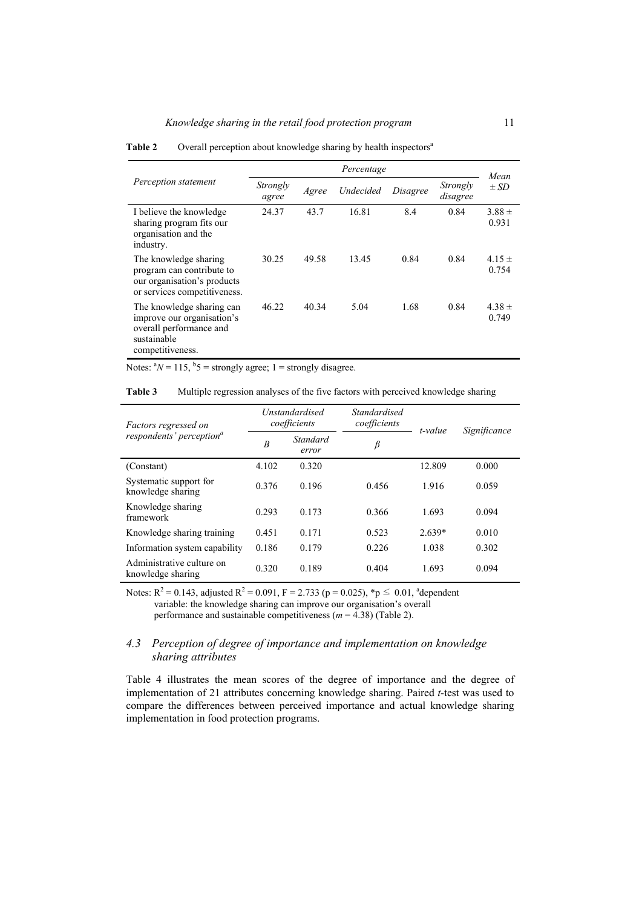|                                                                                                                       | Percentage        |       |                  |          |                      |                     |
|-----------------------------------------------------------------------------------------------------------------------|-------------------|-------|------------------|----------|----------------------|---------------------|
| Perception statement                                                                                                  | Strongly<br>agree | Agree | <b>Undecided</b> | Disagree | Strongly<br>disagree | Mean<br>$\pm SD$    |
| I believe the knowledge<br>sharing program fits our<br>organisation and the<br>industry.                              | 24.37             | 43.7  | 16.81            | 8.4      | 0.84                 | $3.88 \pm$<br>0.931 |
| The knowledge sharing<br>program can contribute to<br>our organisation's products<br>or services competitiveness.     | 30.25             | 49.58 | 13.45            | 0.84     | 0.84                 | 4.15 $\pm$<br>0.754 |
| The knowledge sharing can<br>improve our organisation's<br>overall performance and<br>sustainable<br>competitiveness. | 46.22             | 40.34 | 5.04             | 1.68     | 0.84                 | $4.38 \pm$<br>0.749 |

Table 2 Overall perception about knowledge sharing by health inspectors<sup>a</sup>

Notes:  $^{a}N = 115$ ,  $^{b}5 =$  strongly agree; 1 = strongly disagree.

| Table 3 |  |  | Multiple regression analyses of the five factors with perceived knowledge sharing |
|---------|--|--|-----------------------------------------------------------------------------------|
|         |  |  |                                                                                   |

| Factors regressed on                           | <b>Unstandardised</b><br>coefficients |                          | <b>Standardised</b><br>coefficients | t-value  | Significance |  |
|------------------------------------------------|---------------------------------------|--------------------------|-------------------------------------|----------|--------------|--|
| respondents' perception <sup>a</sup>           | $\boldsymbol{B}$                      | <b>Standard</b><br>error | $\beta$                             |          |              |  |
| (Constant)                                     | 4.102                                 | 0.320                    |                                     | 12.809   | 0.000        |  |
| Systematic support for<br>knowledge sharing    | 0.376                                 | 0.196                    | 0.456                               | 1.916    | 0.059        |  |
| Knowledge sharing<br>framework                 | 0.293                                 | 0.173                    | 0.366                               | 1.693    | 0.094        |  |
| Knowledge sharing training                     | 0.451                                 | 0.171                    | 0.523                               | $2.639*$ | 0.010        |  |
| Information system capability                  | 0.186                                 | 0.179                    | 0.226                               | 1.038    | 0.302        |  |
| Administrative culture on<br>knowledge sharing | 0.320                                 | 0.189                    | 0.404                               | 1.693    | 0.094        |  |

Notes:  $R^2 = 0.143$ , adjusted  $R^2 = 0.091$ ,  $F = 2.733$  (p = 0.025), \*p  $\leq 0.01$ , <sup>a</sup>dependent variable: the knowledge sharing can improve our organisation's overall performance and sustainable competitiveness (*m* = 4.38) (Table 2).

## *4.3 Perception of degree of importance and implementation on knowledge sharing attributes*

Table 4 illustrates the mean scores of the degree of importance and the degree of implementation of 21 attributes concerning knowledge sharing. Paired *t*-test was used to compare the differences between perceived importance and actual knowledge sharing implementation in food protection programs.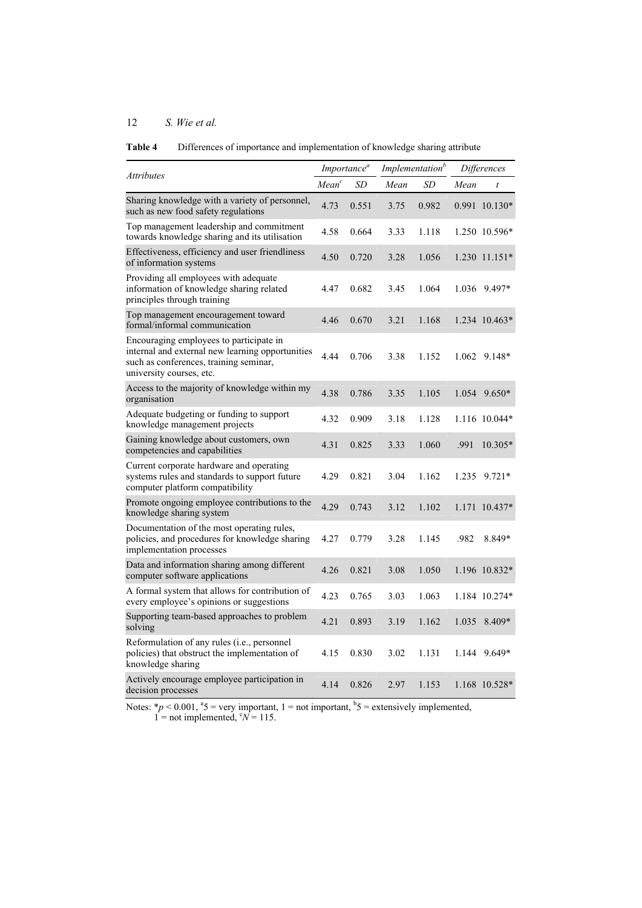| Table 4<br>Differences of importance and implementation of knowledge sharing attribute |
|----------------------------------------------------------------------------------------|
|----------------------------------------------------------------------------------------|

| <b>Attributes</b>                                                                                                                                                 |                   | Importance <sup>a</sup> | Implementation <sup>b</sup> |       | Differences |               |
|-------------------------------------------------------------------------------------------------------------------------------------------------------------------|-------------------|-------------------------|-----------------------------|-------|-------------|---------------|
|                                                                                                                                                                   | Mean <sup>c</sup> | SD                      | Mean                        | SD    | Mean        | $\bar{t}$     |
| Sharing knowledge with a variety of personnel,<br>such as new food safety regulations                                                                             | 4.73              | 0.551                   | 3.75                        | 0.982 |             | 0.991 10.130* |
| Top management leadership and commitment<br>towards knowledge sharing and its utilisation                                                                         | 4.58              | 0.664                   | 3.33                        | 1.118 |             | 1.250 10.596* |
| Effectiveness, efficiency and user friendliness<br>of information systems                                                                                         | 4.50              | 0.720                   | 3.28                        | 1.056 |             | 1.230 11.151* |
| Providing all employees with adequate<br>information of knowledge sharing related<br>principles through training                                                  | 4.47              | 0.682                   | 3.45                        | 1.064 | 1.036       | 9.497*        |
| Top management encouragement toward<br>formal/informal communication                                                                                              | 4.46              | 0.670                   | 3.21                        | 1.168 |             | 1.234 10.463* |
| Encouraging employees to participate in<br>internal and external new learning opportunities<br>such as conferences, training seminar,<br>university courses, etc. | 4.44              | 0.706                   | 3.38                        | 1.152 | 1.062       | $9.148*$      |
| Access to the majority of knowledge within my<br>organisation                                                                                                     | 4.38              | 0.786                   | 3.35                        | 1.105 | 1.054       | $9.650*$      |
| Adequate budgeting or funding to support<br>knowledge management projects                                                                                         | 4.32              | 0.909                   | 3.18                        | 1.128 |             | 1.116 10.044* |
| Gaining knowledge about customers, own<br>competencies and capabilities                                                                                           | 4.31              | 0.825                   | 3.33                        | 1.060 | .991        | $10.305*$     |
| Current corporate hardware and operating<br>systems rules and standards to support future<br>computer platform compatibility                                      | 4.29              | 0.821                   | 3.04                        | 1.162 | 1.235       | $9.721*$      |
| Promote ongoing employee contributions to the<br>knowledge sharing system                                                                                         | 4.29              | 0.743                   | 3.12                        | 1.102 |             | 1.171 10.437* |
| Documentation of the most operating rules,<br>policies, and procedures for knowledge sharing<br>implementation processes                                          | 4.27              | 0.779                   | 3.28                        | 1.145 | .982        | 8.849*        |
| Data and information sharing among different<br>computer software applications                                                                                    | 4.26              | 0.821                   | 3.08                        | 1.050 |             | 1.196 10.832* |
| A formal system that allows for contribution of<br>every employee's opinions or suggestions                                                                       | 4.23              | 0.765                   | 3.03                        | 1.063 |             | 1.184 10.274* |
| Supporting team-based approaches to problem<br>solving                                                                                                            | 4.21              | 0.893                   | 3.19                        | 1.162 | 1.035       | 8.409*        |
| Reformulation of any rules ( <i>i.e.</i> , personnel<br>policies) that obstruct the implementation of<br>knowledge sharing                                        | 4.15              | 0.830                   | 3.02                        | 1.131 | 1.144       | $9.649*$      |
| Actively encourage employee participation in<br>decision processes                                                                                                | 4.14              | 0.826                   | 2.97                        | 1.153 |             | 1.168 10.528* |

Notes:  $\frac{*}{p}$  < 0.001,  $\frac{3}{5}$  = very important, 1 = not important,  $\frac{6}{5}$  = extensively implemented,  $1 =$ not implemented,  $\alpha N = 115$ .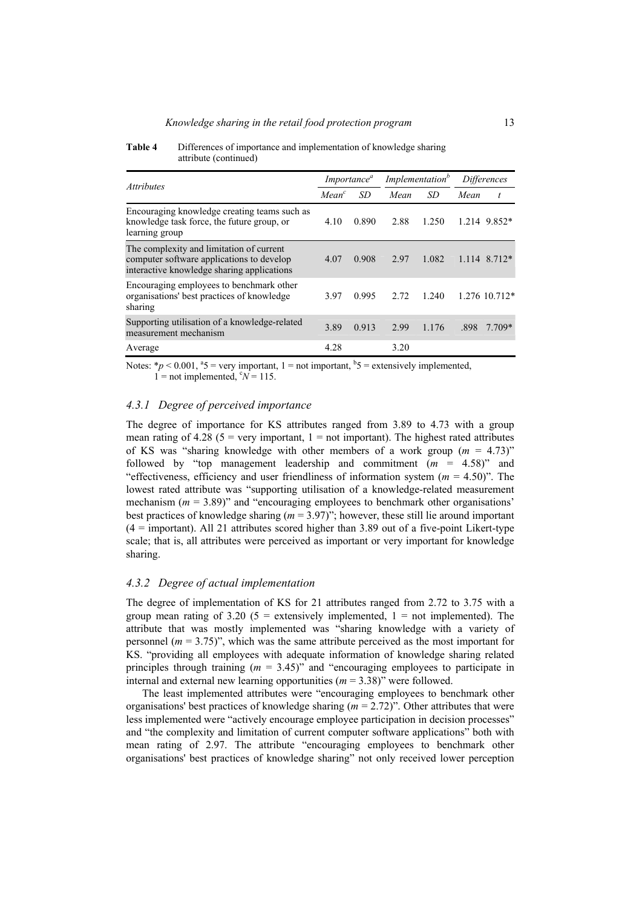### *Knowledge sharing in the retail food protection program* 13

### **Table 4** Differences of importance and implementation of knowledge sharing attribute (continued)

| <i>Attributes</i>                                                                                                                   | Importance <sup>a</sup> |           | <i>Implementation</i> <sup>b</sup> |           | <i>Differences</i> |                |
|-------------------------------------------------------------------------------------------------------------------------------------|-------------------------|-----------|------------------------------------|-----------|--------------------|----------------|
|                                                                                                                                     | Mean <sup>c</sup>       | <b>SD</b> | Mean                               | <b>SD</b> | Mean               | t              |
| Encouraging knowledge creating teams such as<br>knowledge task force, the future group, or<br>learning group                        | 4.10                    | 0.890     | 2.88                               | 1.250     |                    | 1.214 9.852*   |
| The complexity and limitation of current<br>computer software applications to develop<br>interactive knowledge sharing applications | 4.07                    | 0.908     | 2.97                               | 1.082     |                    | $1.114$ 8.712* |
| Encouraging employees to benchmark other<br>organisations' best practices of knowledge<br>sharing                                   | 3.97                    | 0.995     | 2.72                               | 1 2.40    |                    | 1.276 10.712*  |
| Supporting utilisation of a knowledge-related<br>measurement mechanism                                                              | 3.89                    | 0.913     | 2.99                               | 1 1 7 6   | .898               | 7.709*         |
| Average                                                                                                                             | 4.28                    |           | 3.20                               |           |                    |                |

Notes:  $\mathbf{\hat{p}}$  < 0.001,  $\mathbf{\hat{a}}$  5 = very important, 1 = not important,  $\mathbf{\hat{b}}$  5 = extensively implemented,  $\hat{1}$  = not implemented,  $\hat{N}$  = 115.

## *4.3.1 Degree of perceived importance*

The degree of importance for KS attributes ranged from 3.89 to 4.73 with a group mean rating of 4.28 (5 = very important,  $1 = not$  important). The highest rated attributes of KS was "sharing knowledge with other members of a work group  $(m = 4.73)$ " followed by "top management leadership and commitment (*m* = 4.58)" and "effectiveness, efficiency and user friendliness of information system  $(m = 4.50)$ ". The lowest rated attribute was "supporting utilisation of a knowledge-related measurement mechanism (*m* = 3.89)" and "encouraging employees to benchmark other organisations' best practices of knowledge sharing (*m* = 3.97)"; however, these still lie around important  $(4 =$  important). All 21 attributes scored higher than 3.89 out of a five-point Likert-type scale; that is, all attributes were perceived as important or very important for knowledge sharing.

## *4.3.2 Degree of actual implementation*

The degree of implementation of KS for 21 attributes ranged from 2.72 to 3.75 with a group mean rating of  $3.20$  (5 = extensively implemented, 1 = not implemented). The attribute that was mostly implemented was "sharing knowledge with a variety of personnel ( $m = 3.75$ )", which was the same attribute perceived as the most important for KS. "providing all employees with adequate information of knowledge sharing related principles through training (*m* = 3.45)" and "encouraging employees to participate in internal and external new learning opportunities (*m* = 3.38)" were followed.

The least implemented attributes were "encouraging employees to benchmark other organisations' best practices of knowledge sharing (*m* = 2.72)". Other attributes that were less implemented were "actively encourage employee participation in decision processes" and "the complexity and limitation of current computer software applications" both with mean rating of 2.97. The attribute "encouraging employees to benchmark other organisations' best practices of knowledge sharing" not only received lower perception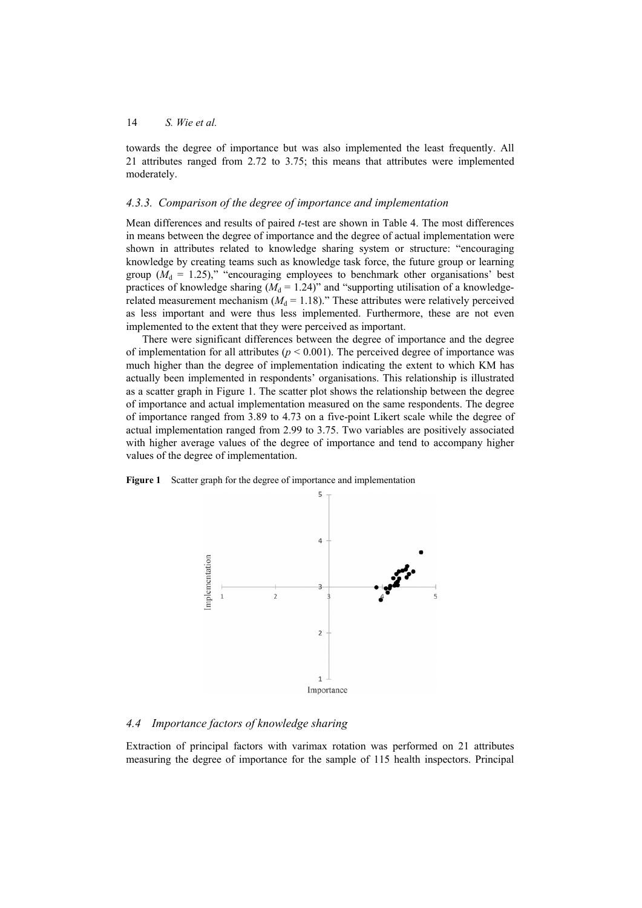towards the degree of importance but was also implemented the least frequently. All 21 attributes ranged from 2.72 to 3.75; this means that attributes were implemented moderately.

### *4.3.3. Comparison of the degree of importance and implementation*

Mean differences and results of paired *t*-test are shown in Table 4. The most differences in means between the degree of importance and the degree of actual implementation were shown in attributes related to knowledge sharing system or structure: "encouraging knowledge by creating teams such as knowledge task force, the future group or learning group  $(M_d = 1.25)$ ," "encouraging employees to benchmark other organisations' best practices of knowledge sharing  $(M_d = 1.24)$ " and "supporting utilisation of a knowledgerelated measurement mechanism  $(M_d = 1.18)$ ." These attributes were relatively perceived as less important and were thus less implemented. Furthermore, these are not even implemented to the extent that they were perceived as important.

There were significant differences between the degree of importance and the degree of implementation for all attributes ( $p < 0.001$ ). The perceived degree of importance was much higher than the degree of implementation indicating the extent to which KM has actually been implemented in respondents' organisations. This relationship is illustrated as a scatter graph in Figure 1. The scatter plot shows the relationship between the degree of importance and actual implementation measured on the same respondents. The degree of importance ranged from 3.89 to 4.73 on a five-point Likert scale while the degree of actual implementation ranged from 2.99 to 3.75. Two variables are positively associated with higher average values of the degree of importance and tend to accompany higher values of the degree of implementation.

### **Figure 1** Scatter graph for the degree of importance and implementation



### *4.4 Importance factors of knowledge sharing*

Extraction of principal factors with varimax rotation was performed on 21 attributes measuring the degree of importance for the sample of 115 health inspectors. Principal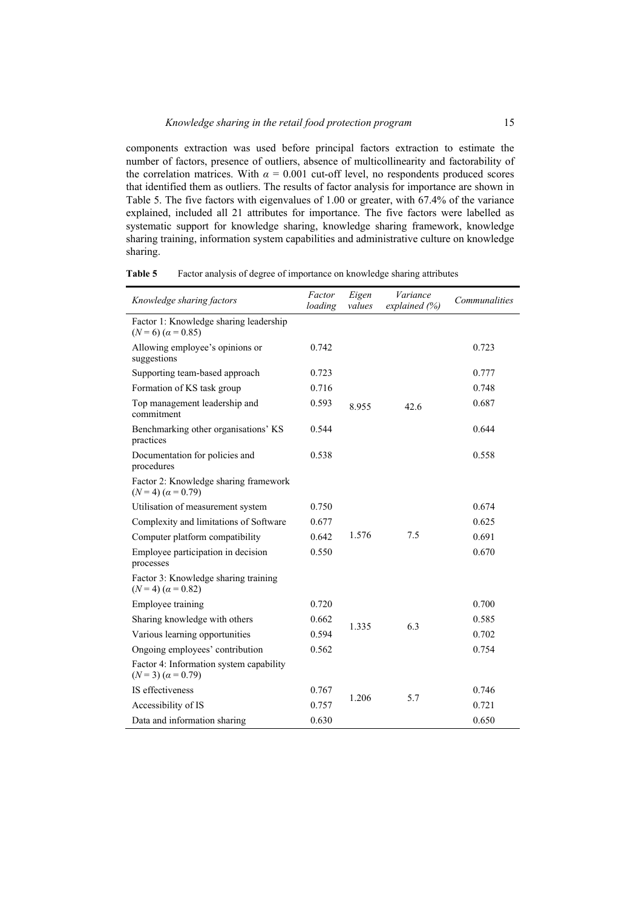components extraction was used before principal factors extraction to estimate the number of factors, presence of outliers, absence of multicollinearity and factorability of the correlation matrices. With  $\alpha = 0.001$  cut-off level, no respondents produced scores that identified them as outliers. The results of factor analysis for importance are shown in Table 5. The five factors with eigenvalues of 1.00 or greater, with 67.4% of the variance explained, included all 21 attributes for importance. The five factors were labelled as systematic support for knowledge sharing, knowledge sharing framework, knowledge sharing training, information system capabilities and administrative culture on knowledge sharing.

**Table 5** Factor analysis of degree of importance on knowledge sharing attributes

| Knowledge sharing factors                                             | Factor<br>loading | Eigen<br>values | Variance<br>explained $(\%)$ | Communalities |
|-----------------------------------------------------------------------|-------------------|-----------------|------------------------------|---------------|
| Factor 1: Knowledge sharing leadership<br>$(N=6)$ ( $\alpha = 0.85$ ) |                   |                 |                              |               |
| Allowing employee's opinions or<br>suggestions                        | 0.742             |                 |                              | 0.723         |
| Supporting team-based approach                                        | 0.723             |                 |                              | 0.777         |
| Formation of KS task group                                            | 0.716             |                 |                              | 0.748         |
| Top management leadership and<br>commitment                           | 0.593             | 8.955           | 42.6                         | 0.687         |
| Benchmarking other organisations' KS<br>practices                     | 0.544             |                 |                              | 0.644         |
| Documentation for policies and<br>procedures                          | 0.538             |                 |                              | 0.558         |
| Factor 2: Knowledge sharing framework<br>$(N=4)$ $(\alpha = 0.79)$    |                   |                 |                              |               |
| Utilisation of measurement system                                     | 0.750             |                 |                              | 0.674         |
| Complexity and limitations of Software                                | 0.677             |                 |                              | 0.625         |
| Computer platform compatibility                                       | 0.642             | 1.576           | 7.5                          | 0.691         |
| Employee participation in decision<br>processes                       | 0.550             |                 |                              | 0.670         |
| Factor 3: Knowledge sharing training<br>$(N=4)$ $(\alpha = 0.82)$     |                   |                 |                              |               |
| Employee training                                                     | 0.720             |                 |                              | 0.700         |
| Sharing knowledge with others                                         | 0.662             | 1.335           | 6.3                          | 0.585         |
| Various learning opportunities                                        | 0.594             |                 |                              | 0.702         |
| Ongoing employees' contribution                                       | 0.562             |                 |                              | 0.754         |
| Factor 4: Information system capability<br>$(N=3)$ $(\alpha = 0.79)$  |                   |                 |                              |               |
| IS effectiveness                                                      | 0.767             | 1.206           | 5.7                          | 0.746         |
| Accessibility of IS                                                   | 0.757             |                 |                              | 0.721         |
| Data and information sharing                                          | 0.630             |                 |                              | 0.650         |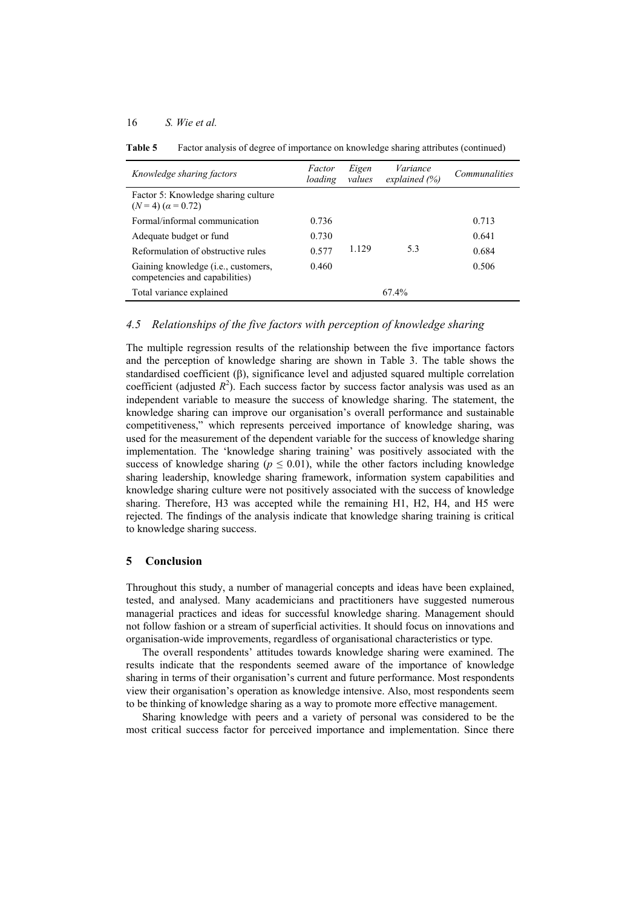| Knowledge sharing factors                                                    | Factor<br>loading | Eigen<br>values | Variance<br>explained $(\%)$ | <i>Communalities</i> |
|------------------------------------------------------------------------------|-------------------|-----------------|------------------------------|----------------------|
| Factor 5: Knowledge sharing culture<br>$(N=4)$ $(\alpha = 0.72)$             |                   |                 |                              |                      |
| Formal/informal communication                                                | 0.736             |                 |                              | 0.713                |
| Adequate budget or fund                                                      | 0.730             |                 |                              | 0.641                |
| Reformulation of obstructive rules                                           | 0.577             | 1.129           | 5.3                          | 0.684                |
| Gaining knowledge <i>(i.e., customers,</i><br>competencies and capabilities) | 0.460             |                 |                              | 0.506                |
| Total variance explained                                                     |                   |                 | $67.4\%$                     |                      |

**Table 5** Factor analysis of degree of importance on knowledge sharing attributes (continued)

## *4.5 Relationships of the five factors with perception of knowledge sharing*

The multiple regression results of the relationship between the five importance factors and the perception of knowledge sharing are shown in Table 3. The table shows the standardised coefficient (β), significance level and adjusted squared multiple correlation coefficient (adjusted  $R^2$ ). Each success factor by success factor analysis was used as an independent variable to measure the success of knowledge sharing. The statement, the knowledge sharing can improve our organisation's overall performance and sustainable competitiveness," which represents perceived importance of knowledge sharing, was used for the measurement of the dependent variable for the success of knowledge sharing implementation. The 'knowledge sharing training' was positively associated with the success of knowledge sharing ( $p \leq 0.01$ ), while the other factors including knowledge sharing leadership, knowledge sharing framework, information system capabilities and knowledge sharing culture were not positively associated with the success of knowledge sharing. Therefore, H3 was accepted while the remaining H1, H2, H4, and H5 were rejected. The findings of the analysis indicate that knowledge sharing training is critical to knowledge sharing success.

### **5 Conclusion**

Throughout this study, a number of managerial concepts and ideas have been explained, tested, and analysed. Many academicians and practitioners have suggested numerous managerial practices and ideas for successful knowledge sharing. Management should not follow fashion or a stream of superficial activities. It should focus on innovations and organisation-wide improvements, regardless of organisational characteristics or type.

The overall respondents' attitudes towards knowledge sharing were examined. The results indicate that the respondents seemed aware of the importance of knowledge sharing in terms of their organisation's current and future performance. Most respondents view their organisation's operation as knowledge intensive. Also, most respondents seem to be thinking of knowledge sharing as a way to promote more effective management.

Sharing knowledge with peers and a variety of personal was considered to be the most critical success factor for perceived importance and implementation. Since there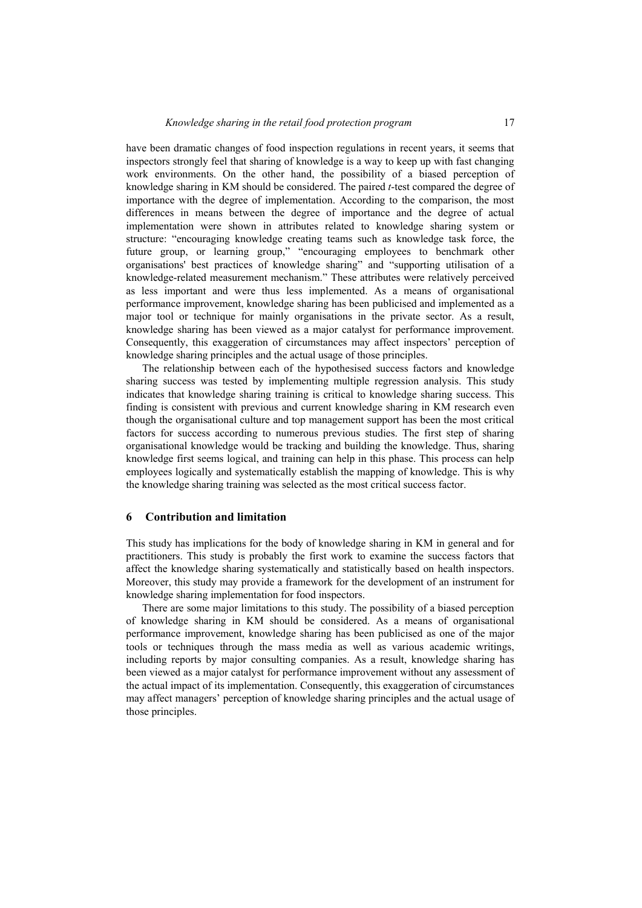have been dramatic changes of food inspection regulations in recent years, it seems that inspectors strongly feel that sharing of knowledge is a way to keep up with fast changing work environments. On the other hand, the possibility of a biased perception of knowledge sharing in KM should be considered. The paired *t*-test compared the degree of importance with the degree of implementation. According to the comparison, the most differences in means between the degree of importance and the degree of actual implementation were shown in attributes related to knowledge sharing system or structure: "encouraging knowledge creating teams such as knowledge task force, the future group, or learning group," "encouraging employees to benchmark other organisations' best practices of knowledge sharing" and "supporting utilisation of a knowledge-related measurement mechanism." These attributes were relatively perceived as less important and were thus less implemented. As a means of organisational performance improvement, knowledge sharing has been publicised and implemented as a major tool or technique for mainly organisations in the private sector. As a result, knowledge sharing has been viewed as a major catalyst for performance improvement. Consequently, this exaggeration of circumstances may affect inspectors' perception of knowledge sharing principles and the actual usage of those principles.

The relationship between each of the hypothesised success factors and knowledge sharing success was tested by implementing multiple regression analysis. This study indicates that knowledge sharing training is critical to knowledge sharing success. This finding is consistent with previous and current knowledge sharing in KM research even though the organisational culture and top management support has been the most critical factors for success according to numerous previous studies. The first step of sharing organisational knowledge would be tracking and building the knowledge. Thus, sharing knowledge first seems logical, and training can help in this phase. This process can help employees logically and systematically establish the mapping of knowledge. This is why the knowledge sharing training was selected as the most critical success factor.

### **6 Contribution and limitation**

This study has implications for the body of knowledge sharing in KM in general and for practitioners. This study is probably the first work to examine the success factors that affect the knowledge sharing systematically and statistically based on health inspectors. Moreover, this study may provide a framework for the development of an instrument for knowledge sharing implementation for food inspectors.

There are some major limitations to this study. The possibility of a biased perception of knowledge sharing in KM should be considered. As a means of organisational performance improvement, knowledge sharing has been publicised as one of the major tools or techniques through the mass media as well as various academic writings, including reports by major consulting companies. As a result, knowledge sharing has been viewed as a major catalyst for performance improvement without any assessment of the actual impact of its implementation. Consequently, this exaggeration of circumstances may affect managers' perception of knowledge sharing principles and the actual usage of those principles.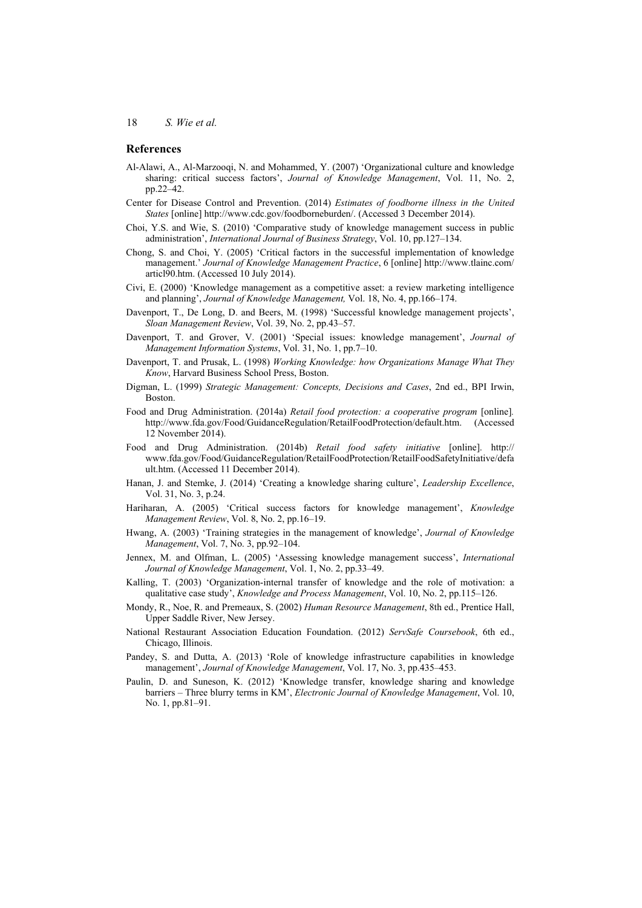#### **References**

- Al-Alawi, A., Al-Marzooqi, N. and Mohammed, Y. (2007) 'Organizational culture and knowledge sharing: critical success factors', *Journal of Knowledge Management*, Vol. 11, No. 2, pp.22–42.
- Center for Disease Control and Prevention. (2014) *Estimates of foodborne illness in the United States* [online] http://www.cdc.gov/foodborneburden/. (Accessed 3 December 2014).
- Choi, Y.S. and Wie, S. (2010) 'Comparative study of knowledge management success in public administration', *International Journal of Business Strategy*, Vol. 10, pp.127–134.
- Chong, S. and Choi, Y. (2005) 'Critical factors in the successful implementation of knowledge management.' *Journal of Knowledge Management Practice*, 6 [online] http://www.tlainc.com/ articl90.htm. (Accessed 10 July 2014).
- Civi, E. (2000) 'Knowledge management as a competitive asset: a review marketing intelligence and planning', *Journal of Knowledge Management,* Vol. 18, No. 4, pp.166–174.
- Davenport, T., De Long, D. and Beers, M. (1998) 'Successful knowledge management projects', *Sloan Management Review*, Vol. 39, No. 2, pp.43–57.
- Davenport, T. and Grover, V. (2001) 'Special issues: knowledge management', *Journal of Management Information Systems*, Vol. 31, No. 1, pp.7–10.
- Davenport, T. and Prusak, L. (1998) *Working Knowledge: how Organizations Manage What They Know*, Harvard Business School Press, Boston.
- Digman, L. (1999) *Strategic Management: Concepts, Decisions and Cases*, 2nd ed., BPI Irwin, Boston.
- Food and Drug Administration. (2014a) *Retail food protection: a cooperative program* [online]*.* http://www.fda.gov/Food/GuidanceRegulation/RetailFoodProtection/default.htm. (Accessed 12 November 2014).
- Food and Drug Administration. (2014b) *Retail food safety initiative* [online]. http:// www.fda.gov/Food/GuidanceRegulation/RetailFoodProtection/RetailFoodSafetyInitiative/defa ult.htm. (Accessed 11 December 2014).
- Hanan, J. and Stemke, J. (2014) 'Creating a knowledge sharing culture', *Leadership Excellence*, Vol. 31, No. 3, p.24.
- Hariharan, A. (2005) 'Critical success factors for knowledge management', *Knowledge Management Review*, Vol. 8, No. 2, pp.16–19.
- Hwang, A. (2003) 'Training strategies in the management of knowledge', *Journal of Knowledge Management*, Vol. 7, No. 3, pp.92–104.
- Jennex, M. and Olfman, L. (2005) 'Assessing knowledge management success', *International Journal of Knowledge Management*, Vol. 1, No. 2, pp.33–49.
- Kalling, T. (2003) 'Organization-internal transfer of knowledge and the role of motivation: a qualitative case study', *Knowledge and Process Management*, Vol. 10, No. 2, pp.115–126.
- Mondy, R., Noe, R. and Premeaux, S. (2002) *Human Resource Management*, 8th ed., Prentice Hall, Upper Saddle River, New Jersey.
- National Restaurant Association Education Foundation. (2012) *ServSafe Coursebook*, 6th ed., Chicago, Illinois.
- Pandey, S. and Dutta, A. (2013) 'Role of knowledge infrastructure capabilities in knowledge management', *Journal of Knowledge Management*, Vol. 17, No. 3, pp.435–453.
- Paulin, D. and Suneson, K. (2012) 'Knowledge transfer, knowledge sharing and knowledge barriers – Three blurry terms in KM', *Electronic Journal of Knowledge Management*, Vol. 10, No. 1, pp.81–91.